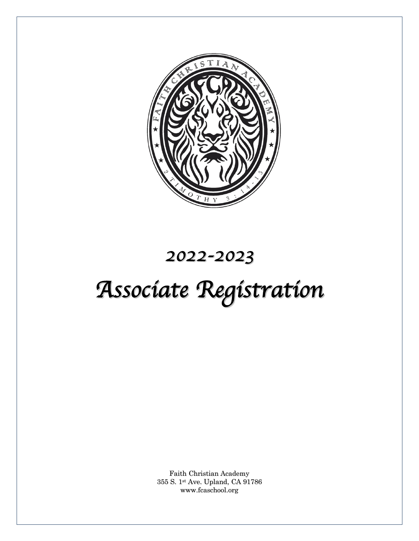

# *2022-2023*

# *Associate Registration*

Faith Christian Academy 355 S. 1st Ave. Upland, CA 91786 www.fcaschool.org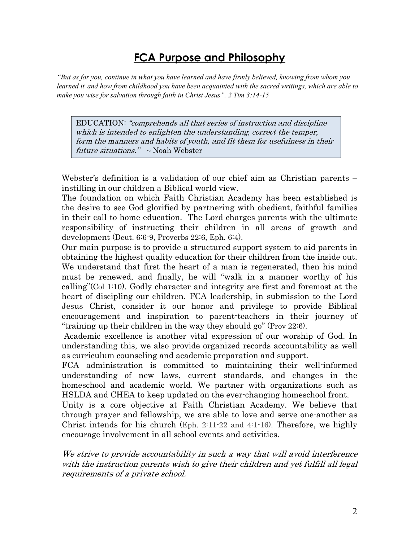## **FCA Purpose and Philosophy**

"But as for you, continue in what you have learned and have firmly believed, knowing from whom you learned it and how from childhood you have been acquainted with the sacred writings, which are able to make you wise for salvation through faith in Christ Jesus". 2 Tim 3:14-15

EDUCATION: "comprehends all that series of instruction and discipline which is intended to enlighten the understanding, correct the temper, form the manners and habits of youth, and fit them for usefulness in their future situations."  $\sim$  Noah Webster

Webster's definition is a validation of our chief aim as Christian parents – instilling in our children a Biblical world view.

The foundation on which Faith Christian Academy has been established is the desire to see God glorified by partnering with obedient, faithful families in their call to home education. The Lord charges parents with the ultimate responsibility of instructing their children in all areas of growth and development (Deut. 6:6-9, Proverbs 22:6, Eph. 6:4).

Our main purpose is to provide a structured support system to aid parents in obtaining the highest quality education for their children from the inside out. We understand that first the heart of a man is regenerated, then his mind must be renewed, and finally, he will "walk in a manner worthy of his calling"(Col 1:10). Godly character and integrity are first and foremost at the heart of discipling our children. FCA leadership, in submission to the Lord Jesus Christ, consider it our honor and privilege to provide Biblical encouragement and inspiration to parent-teachers in their journey of "training up their children in the way they should go" (Prov 22:6).

Academic excellence is another vital expression of our worship of God. In understanding this, we also provide organized records accountability as well as curriculum counseling and academic preparation and support.

FCA administration is committed to maintaining their well-informed understanding of new laws, current standards, and changes in the homeschool and academic world. We partner with organizations such as HSLDA and CHEA to keep updated on the ever-changing homeschool front.

Unity is a core objective at Faith Christian Academy. We believe that through prayer and fellowship, we are able to love and serve one-another as Christ intends for his church (Eph. 2:11-22 and 4:1-16). Therefore, we highly encourage involvement in all school events and activities.

We strive to provide accountability in such a way that will avoid interference with the instruction parents wish to give their children and yet fulfill all legal requirements of a private school.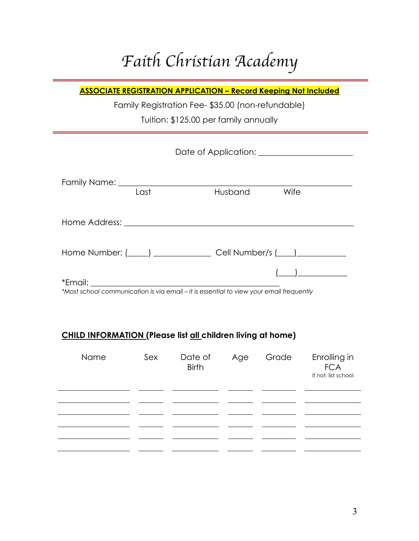# *Faith Christian Academy*

**ASSOCIATE REGISTRATION APPLICATION – Record Keeping Not Included**

Family Registration Fee- \$35.00 (non-refundable)

Tuition: \$125.00 per family annually

| Last | Husband<br>Wife                                                                                      |
|------|------------------------------------------------------------------------------------------------------|
|      |                                                                                                      |
|      | Home Number: (Call Number/s (Call Number/s (Call Number/s (Call Number/s (Call Number/s (Call Number |
|      | *Most school communication is via email - it is essential to view your email frequently              |

#### **CHILD INFORMATION (Please list all children living at home)**

| Name | Sex | Date of<br><b>Birth</b> | Age | Grade | Enrolling in<br><b>FCA</b><br>If not, list school |
|------|-----|-------------------------|-----|-------|---------------------------------------------------|
|      |     |                         |     |       |                                                   |
|      |     |                         |     |       |                                                   |
|      |     |                         |     |       |                                                   |
|      |     |                         |     |       |                                                   |
|      |     |                         |     |       |                                                   |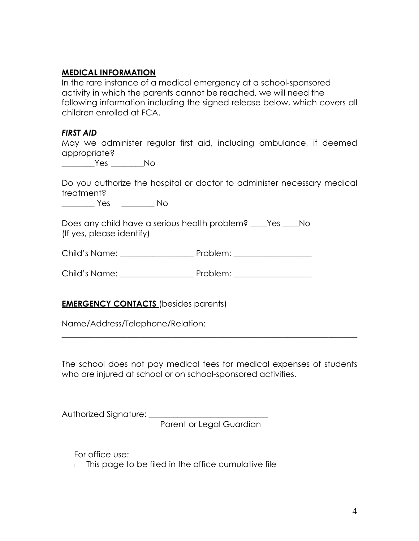#### **MEDICAL INFORMATION**

In the rare instance of a medical emergency at a school-sponsored activity in which the parents cannot be reached, we will need the following information including the signed release below, which covers all children enrolled at FCA.

#### *FIRST AID*

May we administer regular first aid, including ambulance, if deemed appropriate?

\_\_\_\_\_\_\_\_Yes \_\_\_\_\_\_\_\_No

Do you authorize the hospital or doctor to administer necessary medical treatment?

\_\_\_\_\_\_\_\_ Yes \_\_\_\_\_\_\_\_ No

Does any child have a serious health problem? \_\_\_\_Yes \_\_\_\_No (If yes, please identify)

Child's Name: \_\_\_\_\_\_\_\_\_\_\_\_\_\_\_\_\_\_ Problem: \_\_\_\_\_\_\_\_\_\_\_\_\_\_\_\_\_\_\_

Child's Name: \_\_\_\_\_\_\_\_\_\_\_\_\_\_\_\_\_\_ Problem: \_\_\_\_\_\_\_\_\_\_\_\_\_\_\_\_\_\_\_

#### **EMERGENCY CONTACTS** (besides parents)

Name/Address/Telephone/Relation:

The school does not pay medical fees for medical expenses of students who are injured at school or on school-sponsored activities.

 $\_$  , and the set of the set of the set of the set of the set of the set of the set of the set of the set of the set of the set of the set of the set of the set of the set of the set of the set of the set of the set of th

Authorized Signature:

Parent or Legal Guardian

For office use:

□ This page to be filed in the office cumulative file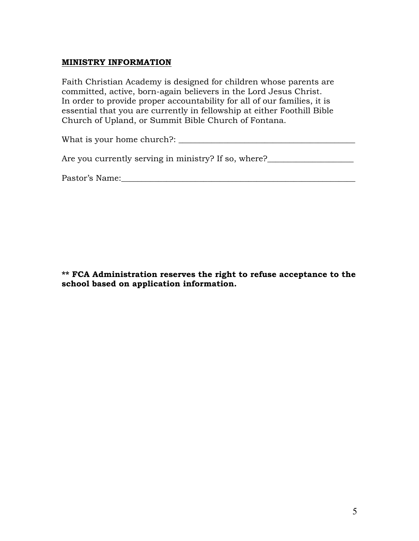#### **MINISTRY INFORMATION**

Faith Christian Academy is designed for children whose parents are committed, active, born-again believers in the Lord Jesus Christ. In order to provide proper accountability for all of our families, it is essential that you are currently in fellowship at either Foothill Bible Church of Upland, or Summit Bible Church of Fontana.

What is your home church?:

Are you currently serving in ministry? If so, where?

Pastor's Name:\_\_\_\_\_\_\_\_\_\_\_\_\_\_\_\_\_\_\_\_\_\_\_\_\_\_\_\_\_\_\_\_\_\_\_\_\_\_\_\_\_\_\_\_\_\_\_\_\_\_\_\_\_\_\_\_\_

**\*\* FCA Administration reserves the right to refuse acceptance to the school based on application information.**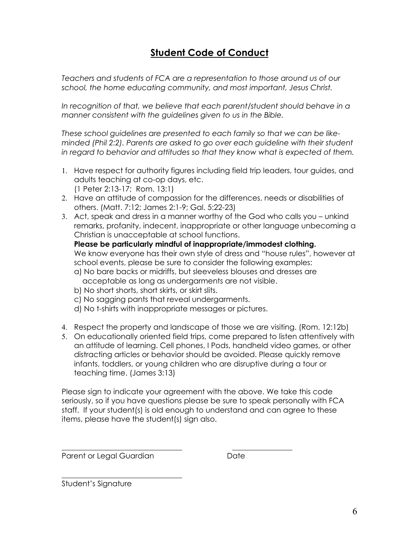### **Student Code of Conduct**

*Teachers and students of FCA are a representation to those around us of our school, the home educating community, and most important, Jesus Christ.* 

In recognition of that, we believe that each parent/student should behave in a *manner consistent with the guidelines given to us in the Bible.*

*These school guidelines are presented to each family so that we can be likeminded (Phil 2:2). Parents are asked to go over each guideline with their student in regard to behavior and attitudes so that they know what is expected of them.*

- 1. Have respect for authority figures including field trip leaders, tour guides, and adults teaching at co-op days, etc. (1 Peter 2:13-17; Rom. 13:1)
- 2. Have an attitude of compassion for the differences, needs or disabilities of others. (Matt. 7:12; James 2:1-9; Gal. 5:22-23)
- 3. Act, speak and dress in a manner worthy of the God who calls you unkind remarks, profanity, indecent, inappropriate or other language unbecoming a Christian is unacceptable at school functions.

**Please be particularly mindful of inappropriate/immodest clothing.** We know everyone has their own style of dress and "house rules", however at school events, please be sure to consider the following examples:

- a) No bare backs or midriffs, but sleeveless blouses and dresses are acceptable as long as undergarments are not visible.
- b) No short shorts, short skirts, or skirt slits.
- c) No sagging pants that reveal undergarments.
- d) No t-shirts with inappropriate messages or pictures.

\_\_\_\_\_\_\_\_\_\_\_\_\_\_\_\_\_\_\_\_\_\_\_\_\_\_\_\_\_\_\_\_ \_\_\_\_\_\_\_\_\_\_\_\_\_\_\_\_

- 4. Respect the property and landscape of those we are visiting. (Rom. 12:12b)
- 5. On educationally oriented field trips, come prepared to listen attentively with an attitude of learning. Cell phones, I Pods, handheld video games, or other distracting articles or behavior should be avoided. Please quickly remove infants, toddlers, or young children who are disruptive during a tour or teaching time. (James 3:13)

Please sign to indicate your agreement with the above. We take this code seriously, so if you have questions please be sure to speak personally with FCA staff. If your student(s) is old enough to understand and can agree to these items, please have the student(s) sign also.

Parent or Legal Guardian **Date** 

\_\_\_\_\_\_\_\_\_\_\_\_\_\_\_\_\_\_\_\_\_\_\_\_\_\_\_\_\_\_\_\_ Student's Signature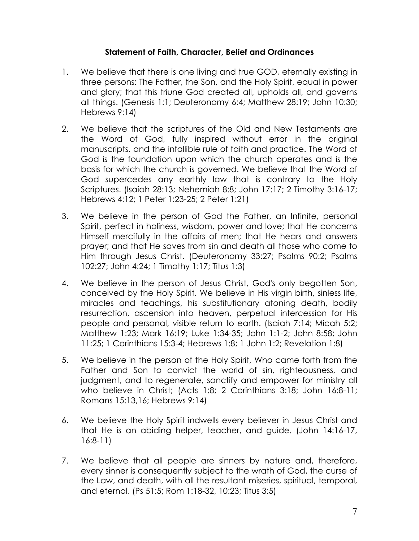#### **Statement of Faith, Character, Belief and Ordinances**

- 1. We believe that there is one living and true GOD, eternally existing in three persons: The Father, the Son, and the Holy Spirit, equal in power and glory; that this triune God created all, upholds all, and governs all things. (Genesis 1:1; Deuteronomy 6:4; Matthew 28:19; John 10:30; Hebrews 9:14)
- 2. We believe that the scriptures of the Old and New Testaments are the Word of God, fully inspired without error in the original manuscripts, and the infallible rule of faith and practice. The Word of God is the foundation upon which the church operates and is the basis for which the church is governed. We believe that the Word of God supercedes any earthly law that is contrary to the Holy Scriptures. (Isaiah 28:13; Nehemiah 8:8; John 17:17; 2 Timothy 3:16-17; Hebrews 4:12; 1 Peter 1:23-25; 2 Peter 1:21)
- 3. We believe in the person of God the Father, an Infinite, personal Spirit, perfect in holiness, wisdom, power and love; that He concerns Himself mercifully in the affairs of men; that He hears and answers prayer; and that He saves from sin and death all those who come to Him through Jesus Christ. (Deuteronomy 33:27; Psalms 90:2; Psalms 102:27; John 4:24; 1 Timothy 1:17; Titus 1:3)
- 4. We believe in the person of Jesus Christ, God's only begotten Son, conceived by the Holy Spirit. We believe in His virgin birth, sinless life, miracles and teachings, his substitutionary atoning death, bodily resurrection, ascension into heaven, perpetual intercession for His people and personal, visible return to earth. (Isaiah 7:14; Micah 5:2; Matthew 1:23; Mark 16:19; Luke 1:34-35; John 1:1-2; John 8:58; John 11:25; 1 Corinthians 15:3-4; Hebrews 1:8; 1 John 1:2; Revelation 1:8)
- 5. We believe in the person of the Holy Spirit, Who came forth from the Father and Son to convict the world of sin, righteousness, and judgment, and to regenerate, sanctify and empower for ministry all who believe in Christ; (Acts 1:8; 2 Corinthians 3:18; John 16:8-11; Romans 15:13,16; Hebrews 9:14)
- 6. We believe the Holy Spirit indwells every believer in Jesus Christ and that He is an abiding helper, teacher, and guide. (John 14:16-17, 16:8-11)
- 7. We believe that all people are sinners by nature and, therefore, every sinner is consequently subject to the wrath of God, the curse of the Law, and death, with all the resultant miseries, spiritual, temporal, and eternal. (Ps 51:5; Rom 1:18-32, 10:23; Titus 3:5)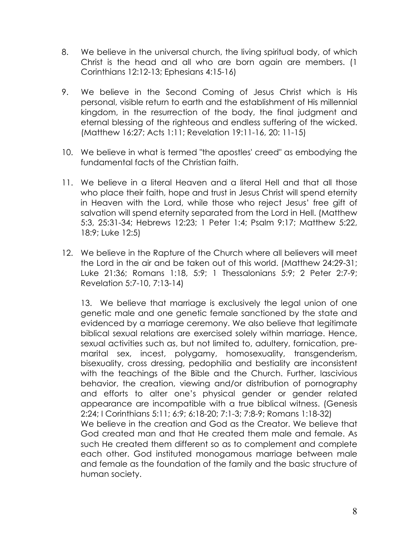- 8. We believe in the universal church, the living spiritual body, of which Christ is the head and all who are born again are members. (1 Corinthians 12:12-13; Ephesians 4:15-16)
- 9. We believe in the Second Coming of Jesus Christ which is His personal, visible return to earth and the establishment of His millennial kingdom, in the resurrection of the body, the final judgment and eternal blessing of the righteous and endless suffering of the wicked. (Matthew 16:27; Acts 1:11; Revelation 19:11-16, 20: 11-15)
- 10. We believe in what is termed "the apostles' creed" as embodying the fundamental facts of the Christian faith.
- 11. We believe in a literal Heaven and a literal Hell and that all those who place their faith, hope and trust in Jesus Christ will spend eternity in Heaven with the Lord, while those who reject Jesus' free gift of salvation will spend eternity separated from the Lord in Hell. (Matthew 5:3, 25:31-34; Hebrews 12:23; 1 Peter 1:4; Psalm 9:17; Matthew 5:22, 18:9; Luke 12:5)
- 12. We believe in the Rapture of the Church where all believers will meet the Lord in the air and be taken out of this world. (Matthew 24:29-31; Luke 21:36; Romans 1:18, 5:9; 1 Thessalonians 5:9; 2 Peter 2:7-9; Revelation 5:7-10, 7:13-14)

13. We believe that marriage is exclusively the legal union of one genetic male and one genetic female sanctioned by the state and evidenced by a marriage ceremony. We also believe that legitimate biblical sexual relations are exercised solely within marriage. Hence, sexual activities such as, but not limited to, adultery, fornication, premarital sex, incest, polygamy, homosexuality, transgenderism, bisexuality, cross dressing, pedophilia and bestiality are inconsistent with the teachings of the Bible and the Church. Further, lascivious behavior, the creation, viewing and/or distribution of pornography and efforts to alter one's physical gender or gender related appearance are incompatible with a true biblical witness. (Genesis 2:24; I Corinthians 5:11; 6:9; 6:18-20; 7:1-3; 7:8-9; Romans 1:18-32) We believe in the creation and God as the Creator. We believe that God created man and that He created them male and female. As such He created them different so as to complement and complete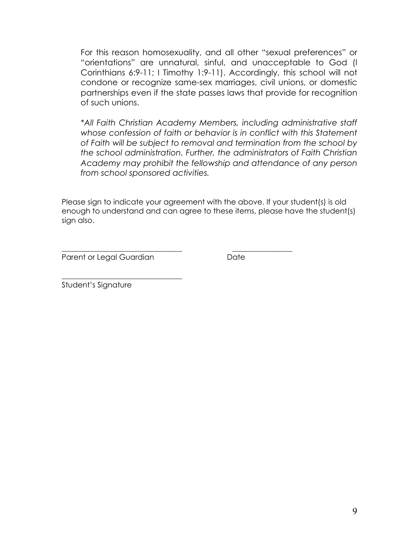For this reason homosexuality, and all other "sexual preferences" or "orientations" are unnatural, sinful, and unacceptable to God (I Corinthians 6:9-11; I Timothy 1:9-11). Accordingly, this school will not condone or recognize same-sex marriages, civil unions, or domestic partnerships even if the state passes laws that provide for recognition of such unions.

*\*All Faith Christian Academy Members, including administrative staff* whose confession of faith or behavior is in conflict with this Statement *of Faith will be subject to removal and termination from the school by the school administration. Further, the administrators of Faith Christian Academy may prohibit the fellowship and attendance of any person from school sponsored activities.*

Please sign to indicate your agreement with the above. If your student(s) is old enough to understand and can agree to these items, please have the student(s) sign also.

\_\_\_\_\_\_\_\_\_\_\_\_\_\_\_\_\_\_\_\_\_\_\_\_\_\_\_\_\_\_\_\_ \_\_\_\_\_\_\_\_\_\_\_\_\_\_\_\_

Parent or Legal Guardian **Date** 

\_\_\_\_\_\_\_\_\_\_\_\_\_\_\_\_\_\_\_\_\_\_\_\_\_\_\_\_\_\_\_\_

Student's Signature